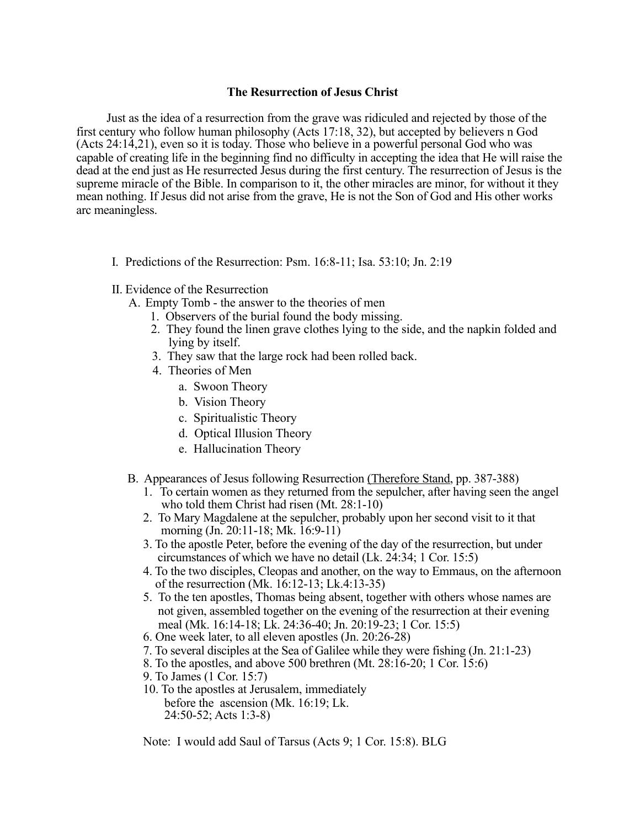## **The Resurrection of Jesus Christ**

Just as the idea of a resurrection from the grave was ridiculed and rejected by those of the first century who follow human philosophy (Acts 17:18, 32), but accepted by believers n God (Acts 24:14,21), even so it is today. Those who believe in a powerful personal God who was capable of creating life in the beginning find no difficulty in accepting the idea that He will raise the dead at the end just as He resurrected Jesus during the first century. The resurrection of Jesus is the supreme miracle of the Bible. In comparison to it, the other miracles are minor, for without it they mean nothing. If Jesus did not arise from the grave, He is not the Son of God and His other works arc meaningless.

- I. Predictions of the Resurrection: Psm. 16:8-11; Isa. 53:10; Jn. 2:19
- II. Evidence of the Resurrection
	- A. Empty Tomb the answer to the theories of men
		- 1. Observers of the burial found the body missing.
		- 2. They found the linen grave clothes lying to the side, and the napkin folded and lying by itself.
		- 3. They saw that the large rock had been rolled back.
		- 4. Theories of Men
			- a. Swoon Theory
			- b. Vision Theory
			- c. Spiritualistic Theory
			- d. Optical Illusion Theory
			- e. Hallucination Theory
	- B. Appearances of Jesus following Resurrection (Therefore Stand, pp. 387-388)
		- 1. To certain women as they returned from the sepulcher, after having seen the angel who told them Christ had risen (Mt. 28:1-10)
		- 2. To Mary Magdalene at the sepulcher, probably upon her second visit to it that morning (Jn. 20:11-18; Mk. 16:9-11)
		- 3. To the apostle Peter, before the evening of the day of the resurrection, but under circumstances of which we have no detail (Lk. 24:34; 1 Cor. 15:5)
		- 4. To the two disciples, Cleopas and another, on the way to Emmaus, on the afternoon of the resurrection (Mk. 16:12-13; Lk.4:13-35)
		- 5. To the ten apostles, Thomas being absent, together with others whose names are not given, assembled together on the evening of the resurrection at their evening meal (Mk. 16:14-18; Lk. 24:36-40; Jn. 20:19-23; 1 Cor. 15:5)
		- 6. One week later, to all eleven apostles (Jn. 20:26-28)
		- 7. To several disciples at the Sea of Galilee while they were fishing (Jn. 21:1-23)
		- 8. To the apostles, and above 500 brethren (Mt. 28:16-20; 1 Cor. 15:6)
		- 9. To James (1 Cor. 15:7)
		- 10. To the apostles at Jerusalem, immediately before the ascension (Mk. 16:19; Lk. 24:50-52; Acts 1:3-8)

Note: I would add Saul of Tarsus (Acts 9; 1 Cor. 15:8). BLG